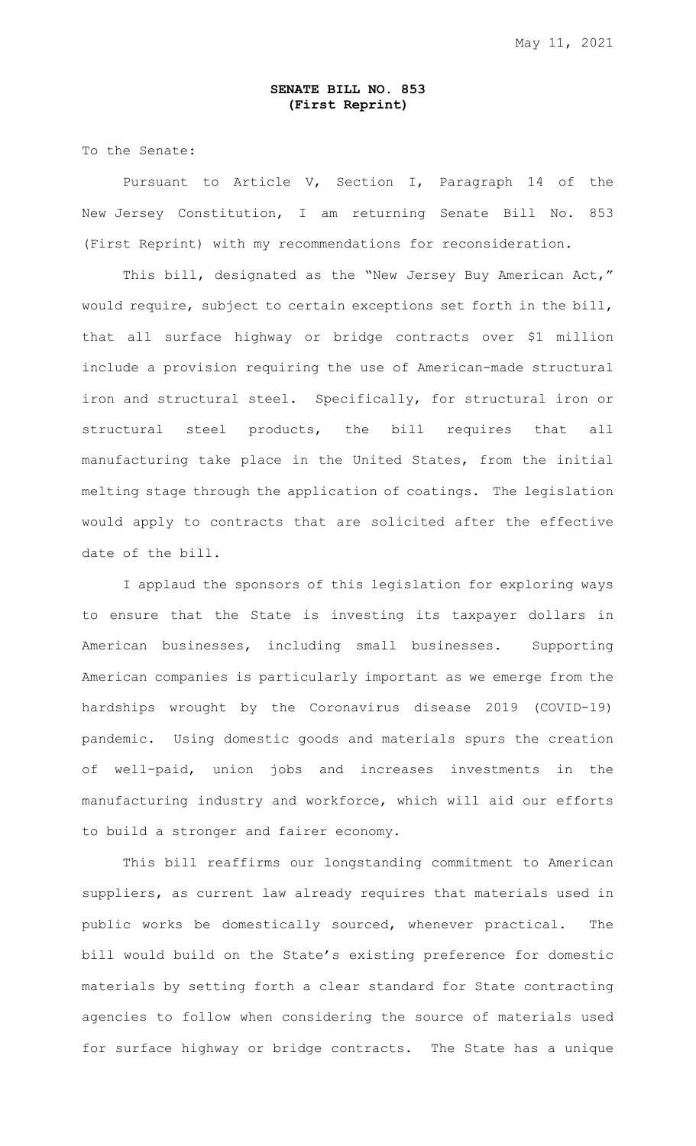## **SENATE BILL NO. 853 (First Reprint)**

To the Senate:

Pursuant to Article V, Section I, Paragraph 14 of the New Jersey Constitution, I am returning Senate Bill No. 853 (First Reprint) with my recommendations for reconsideration.

This bill, designated as the "New Jersey Buy American Act," would require, subject to certain exceptions set forth in the bill, that all surface highway or bridge contracts over \$1 million include a provision requiring the use of American-made structural iron and structural steel. Specifically, for structural iron or structural steel products, the bill requires that all manufacturing take place in the United States, from the initial melting stage through the application of coatings. The legislation would apply to contracts that are solicited after the effective date of the bill.

I applaud the sponsors of this legislation for exploring ways to ensure that the State is investing its taxpayer dollars in American businesses, including small businesses. Supporting American companies is particularly important as we emerge from the hardships wrought by the Coronavirus disease 2019 (COVID-19) pandemic. Using domestic goods and materials spurs the creation of well-paid, union jobs and increases investments in the manufacturing industry and workforce, which will aid our efforts to build a stronger and fairer economy.

This bill reaffirms our longstanding commitment to American suppliers, as current law already requires that materials used in public works be domestically sourced, whenever practical. The bill would build on the State's existing preference for domestic materials by setting forth a clear standard for State contracting agencies to follow when considering the source of materials used for surface highway or bridge contracts. The State has a unique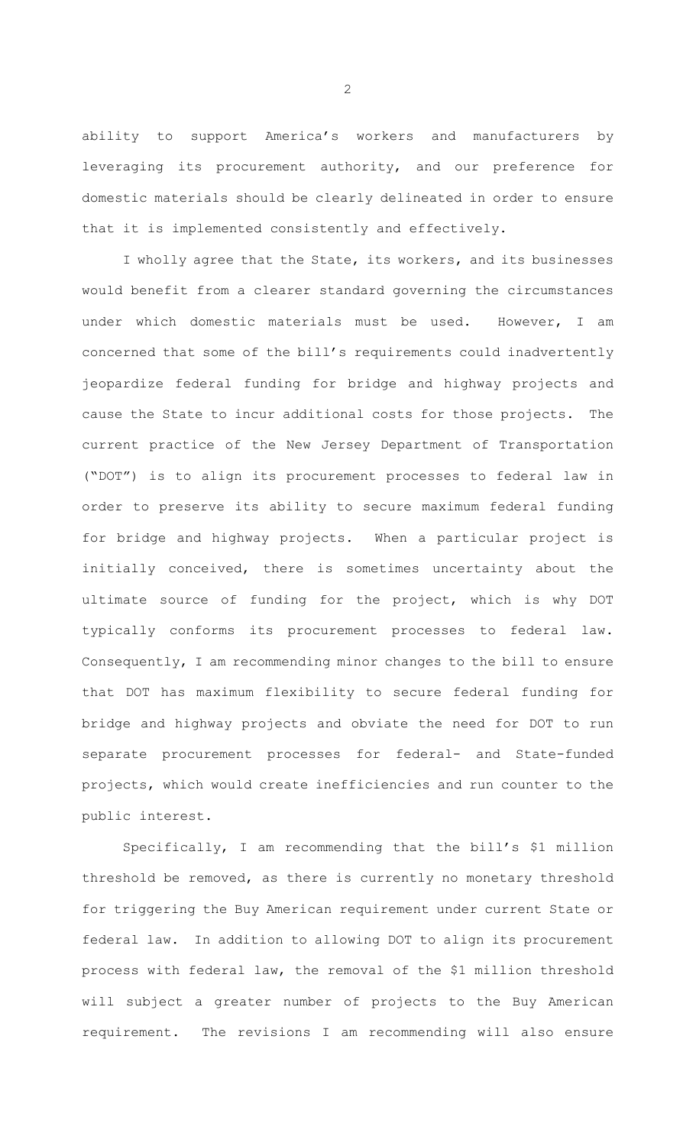ability to support America's workers and manufacturers by leveraging its procurement authority, and our preference for domestic materials should be clearly delineated in order to ensure that it is implemented consistently and effectively.

I wholly agree that the State, its workers, and its businesses would benefit from a clearer standard governing the circumstances under which domestic materials must be used. However, I am concerned that some of the bill's requirements could inadvertently jeopardize federal funding for bridge and highway projects and cause the State to incur additional costs for those projects. The current practice of the New Jersey Department of Transportation ("DOT") is to align its procurement processes to federal law in order to preserve its ability to secure maximum federal funding for bridge and highway projects. When a particular project is initially conceived, there is sometimes uncertainty about the ultimate source of funding for the project, which is why DOT typically conforms its procurement processes to federal law. Consequently, I am recommending minor changes to the bill to ensure that DOT has maximum flexibility to secure federal funding for bridge and highway projects and obviate the need for DOT to run separate procurement processes for federal- and State-funded projects, which would create inefficiencies and run counter to the public interest.

Specifically, I am recommending that the bill's \$1 million threshold be removed, as there is currently no monetary threshold for triggering the Buy American requirement under current State or federal law. In addition to allowing DOT to align its procurement process with federal law, the removal of the \$1 million threshold will subject a greater number of projects to the Buy American requirement. The revisions I am recommending will also ensure

2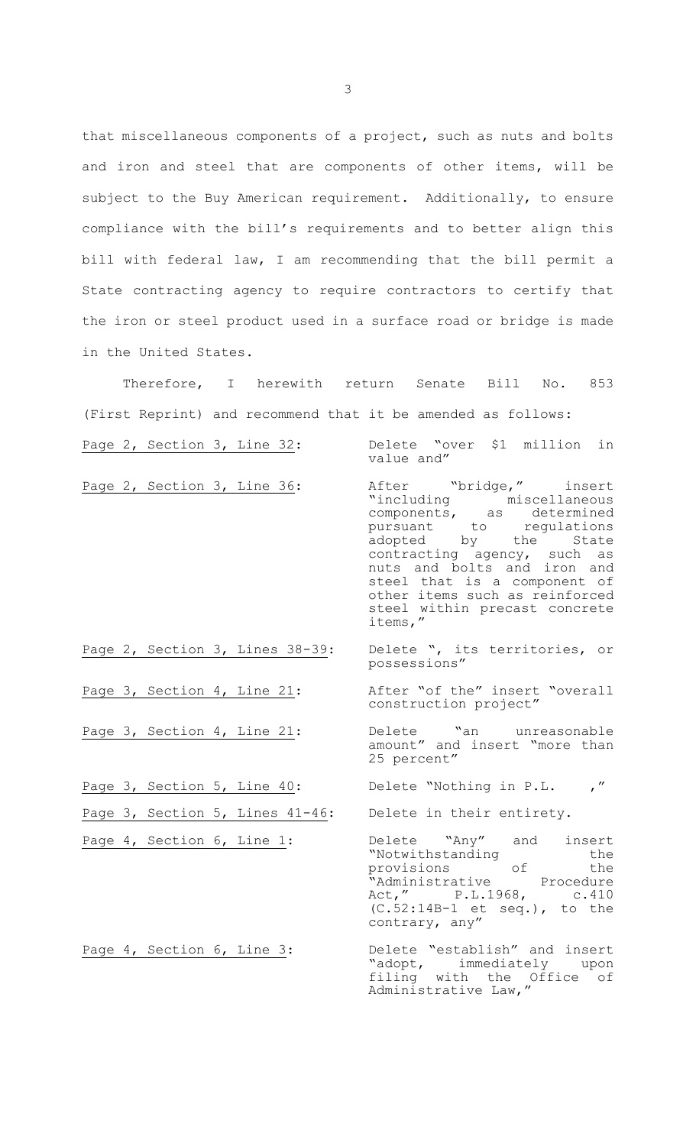that miscellaneous components of a project, such as nuts and bolts and iron and steel that are components of other items, will be subject to the Buy American requirement. Additionally, to ensure compliance with the bill's requirements and to better align this bill with federal law, I am recommending that the bill permit a State contracting agency to require contractors to certify that the iron or steel product used in a surface road or bridge is made in the United States.

Therefore, I herewith return Senate Bill No. 853 (First Reprint) and recommend that it be amended as follows: Page 2, Section 3, Line 32: Delete "over \$1 million in value and" Page 2, Section 3, Line 36: After "bridge," insert "including miscellaneous components, as determined pursuant to regulations<br>adopted by the State adopted by the State contracting agency, such as nuts and bolts and iron and steel that is a component of other items such as reinforced steel within precast concrete items," Page 2, Section 3, Lines 38-39: Delete ", its territories, or possessions" Page 3, Section 4, Line 21: After "of the" insert "overall construction project" Page 3, Section 4, Line 21: Delete "an unreasonable amount" and insert "more than 25 percent" Page 3, Section 5, Line 40: Delete "Nothing in P.L., Page 3, Section 5, Lines 41-46: Delete in their entirety. Page 4, Section 6, Line 1: Delete "Any" and insert "Notwithstanding the<br>provisions of the provisions of the<br>"Administrative Procedure "Administrative Act," P.L.1968, c.410

Page 4, Section 6, Line 3: Delete "establish" and insert "adopt, immediately upon filing with the Office of Administrative Law,"

(C.52:14B-1 et seq.), to the

contrary, any"

3